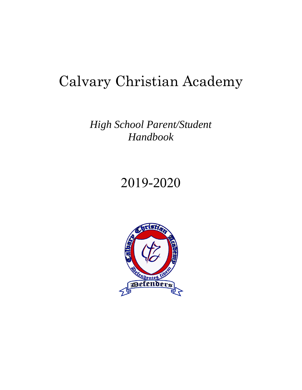# Calvary Christian Academy

# *High School Parent/Student Handbook*

# 2019-2020

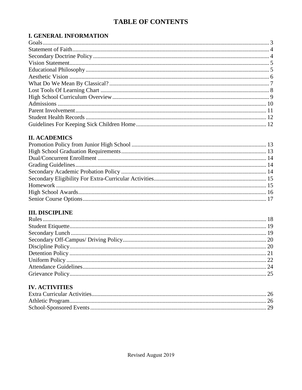### **TABLE OF CONTENTS**

### **I. GENERAL INFORMATION**

### **II. ACADEMICS**

### **III. DISCIPLINE**

### **IV. ACTIVITIES**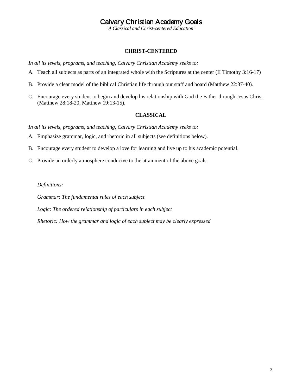### Calvary Christian Academy Goals

*"A Classical and Christ-centered Education"*

#### **CHRIST-CENTERED**

<span id="page-2-0"></span>*In all its levels, programs, and teaching, Calvary Christian Academy seeks to:*

- A. Teach all subjects as parts of an integrated whole with the Scriptures at the center (II Timothy 3:16-17)
- B. Provide a clear model of the biblical Christian life through our staff and board (Matthew 22:37-40).
- C. Encourage every student to begin and develop his relationship with God the Father through Jesus Christ (Matthew 28:18-20, Matthew 19:13-15).

### **CLASSICAL**

*In all its levels, programs, and teaching, Calvary Christian Academy seeks to:*

- A. Emphasize grammar, logic, and rhetoric in all subjects (see definitions below).
- B. Encourage every student to develop a love for learning and live up to his academic potential.
- C. Provide an orderly atmosphere conducive to the attainment of the above goals.

#### *Definitions:*

*Grammar: The fundamental rules of each subject*

*Logic: The ordered relationship of particulars in each subject*

*Rhetoric: How the grammar and logic of each subject may be clearly expressed*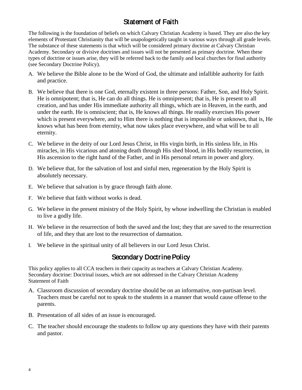### Statement of Faith

<span id="page-3-0"></span>The following is the foundation of beliefs on which Calvary Christian Academy is based. They are also the key elements of Protestant Christianity that will be unapologetically taught in various ways through all grade levels. The substance of these statements is that which will be considered primary doctrine at Calvary Christian Academy. Secondary or divisive doctrines and issues will not be presented as primary doctrine. When these types of doctrine or issues arise, they will be referred back to the family and local churches for final authority (see Secondary Doctrine Policy).

- A. We believe the Bible alone to be the Word of God, the ultimate and infallible authority for faith and practice.
- B. We believe that there is one God, eternally existent in three persons: Father, Son, and Holy Spirit. He is omnipotent; that is, He can do all things. He is omnipresent; that is, He is present to all creation, and has under His immediate authority all things, which are in Heaven, in the earth, and under the earth. He is omniscient; that is, He knows all things. He readily exercises His power which is present everywhere, and to Him there is nothing that is impossible or unknown, that is, He knows what has been from eternity, what now takes place everywhere, and what will be to all eternity.
- C. We believe in the deity of our Lord Jesus Christ, in His virgin birth, in His sinless life, in His miracles, in His vicarious and atoning death through His shed blood, in His bodily resurrection, in His ascension to the right hand of the Father, and in His personal return in power and glory.
- D. We believe that, for the salvation of lost and sinful men, regeneration by the Holy Spirit is absolutely necessary.
- E. We believe that salvation is by grace through faith alone.
- F. We believe that faith without works is dead.
- G. We believe in the present ministry of the Holy Spirit, by whose indwelling the Christian is enabled to live a godly life.
- H. We believe in the resurrection of both the saved and the lost; they that are saved to the resurrection of life, and they that are lost to the resurrection of damnation.
- <span id="page-3-1"></span>I. We believe in the spiritual unity of all believers in our Lord Jesus Christ.

### Secondary Doctrine Policy

This policy applies to all CCA teachers in their capacity as teachers at Calvary Christian Academy. Secondary doctrine: Doctrinal issues, which are not addressed in the Calvary Christian Academy Statement of Faith

- A. Classroom discussion of secondary doctrine should be on an informative, non-partisan level. Teachers must be careful not to speak to the students in a manner that would cause offense to the parents.
- B. Presentation of all sides of an issue is encouraged.
- C. The teacher should encourage the students to follow up any questions they have with their parents and pastor.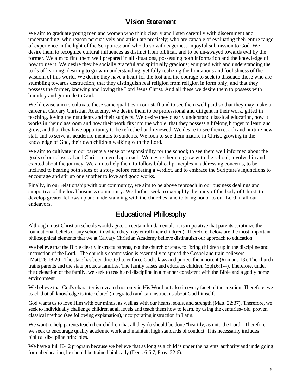### Vision Statement

<span id="page-4-0"></span>We aim to graduate young men and women who think clearly and listen carefully with discernment and understanding; who reason persuasively and articulate precisely; who are capable of evaluating their entire range of experience in the light of the Scriptures; and who do so with eagerness in joyful submission to God. We desire them to recognize cultural influences as distinct from biblical, and to be un-swayed towards evil by the former. We aim to find them well prepared in all situations, possessing both information and the knowledge of how to use it. We desire they be socially graceful and spiritually gracious; equipped with and understanding the tools of learning; desiring to grow in understanding, yet fully realizing the limitations and foolishness of the wisdom of this world. We desire they have a heart for the lost and the courage to seek to dissuade those who are stumbling towards destruction; that they distinguish real religion from religion in form only; and that they possess the former, knowing and loving the Lord Jesus Christ. And all these we desire them to possess with humility and gratitude to God.

We likewise aim to cultivate these same qualities in our staff and to see them well paid so that they may make a career at Calvary Christian Academy. We desire them to be professional and diligent in their work, gifted in teaching, loving their students and their subjects. We desire they clearly understand classical education, how it works in their classroom and how their work fits into the whole; that they possess a lifelong hunger to learn and grow; and that they have opportunity to be refreshed and renewed. We desire to see them coach and nurture new staff and to serve as academic mentors to students. We look to see them mature in Christ, growing in the knowledge of God, their own children walking with the Lord.

We aim to cultivate in our parents a sense of responsibility for the school; to see them well informed about the goals of our classical and Christ-centered approach. We desire them to grow with the school, involved in and excited about the journey. We aim to help them to follow biblical principles in addressing concerns, to be inclined to hearing both sides of a story before rendering a verdict, and to embrace the Scripture's injunctions to encourage and stir up one another to love and good works.

Finally, in our relationship with our community, we aim to be above reproach in our business dealings and supportive of the local business community. We further seek to exemplify the unity of the body of Christ, to develop greater fellowship and understanding with the churches, and to bring honor to our Lord in all our endeavors.

### Educational Philosophy

<span id="page-4-1"></span>Although most Christian schools would agree on certain fundamentals, it is imperative that parents scrutinize the foundational beliefs of any school in which they may enroll their child(ren). Therefore, below are the most important philosophical elements that we at Calvary Christian Academy believe distinguish our approach to education.

We believe that the Bible clearly instructs parents, not the church or state, to "bring children up in the discipline and instruction of the Lord." The church's commission is essentially to spread the Gospel and train believers (Matt.28:18-20). The state has been directed to enforce God's laws and protect the innocent (Romans 13). The church trains parents and the state protects families. The family raises and educates children (Eph.6:1-4). Therefore, under the delegation of the family, we seek to teach and discipline in a manner consistent with the Bible and a godly home environment.

We believe that God's character is revealed not only in His Word but also in every facet of the creation. Therefore, we teach that all knowledge is interrelated (integrated) and can instruct us about God himself.

God wants us to love Him with our minds, as well as with our hearts, souls, and strength (Matt. 22:37). Therefore, we seek to individually challenge children at all levels and teach them how to learn, by using the centuries- old, proven classical method (see following explanation), incorporating instruction in Latin.

We want to help parents teach their children that all they do should be done "heartily, as unto the Lord." Therefore, we seek to encourage quality academic work and maintain high standards of conduct. This necessarily includes biblical discipline principles.

We have a full K-12 program because we believe that as long as a child is under the parents' authority and undergoing formal education, he should be trained biblically (Deut. 6:6,7; Prov. 22:6).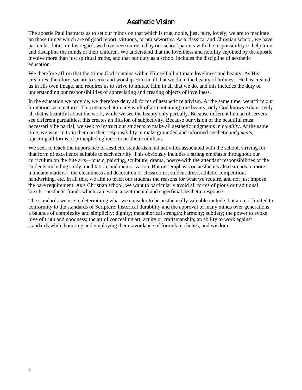### Aesthetic Vision

<span id="page-5-0"></span>The apostle Paul instructs us to set our minds on that which is true, noble, just, pure, lovely; we are to meditate on those things which are of good report, virtuous, or praiseworthy. As a classical and Christian school, we have particular duties in this regard; we have been entrusted by our school parents with the responsibility to help train and discipline the minds of their children. We understand that the loveliness and nobility enjoined by the apostle involve more than just spiritual truths, and that our duty as a school includes the discipline of aesthetic education.

We therefore affirm that the triune God contains within Himself all ultimate loveliness and beauty. As His creatures, therefore, we are to serve and worship Him in all that we do in the beauty of holiness. He has created us in His own image, and requires us to strive to imitate Him in all that we do, and this includes the duty of understanding our responsibilities of appreciating and creating objects of loveliness.

In the education we provide, we therefore deny all forms of aesthetic relativism. At the same time, we affirm our limitations as creatures. This means that in any work of art containing true beauty, only God knows exhaustively all that is beautiful about the work, while we see the beauty only partially. Because different human observers see different partialities, this creates an illusion of subjectivity. Because our vision of the beautiful must necessarily be partial, we seek to instruct our students to make all aesthetic judgments in *humility*. At the same time, we want to train them on their responsibility to make grounded and informed aesthetic *judgments*, rejecting all forms of principled ugliness or aesthetic nihilism.

We seek to teach the importance of aesthetic standards in all activities associated with the school, striving for that form of excellence suitable to each activity. This obviously includes a strong emphasis throughout our curriculum on the fine arts—music, painting, sculpture, drama, poetry-with the attendant responsibilities of the students including study, meditation, and memorization. But our emphasis on aesthetics also extends to more mundane matters—the cleanliness and decoration of classrooms, student dress, athletic competition, handwriting, etc. In all this, we aim to teach our students the reasons for what we require, and not just impose the bare requirement. As a Christian school, we want to particularly avoid all forms of pious or traditional kitsch—aesthetic frauds which can evoke a sentimental and superficial aesthetic response.

The standards we use in determining what we consider to be aesthetically valuable include, but are not limited to conformity to the standards of Scripture; historical durability and the approval of many minds over generations; a balance of complexity and simplicity; dignity; metaphorical strength; harmony; subtlety; the power to evoke love of truth and goodness; the art of concealing art, acuity or craftsmanship; an ability to work against standards while honoring and employing them; avoidance of formulaic clichés; and wisdom.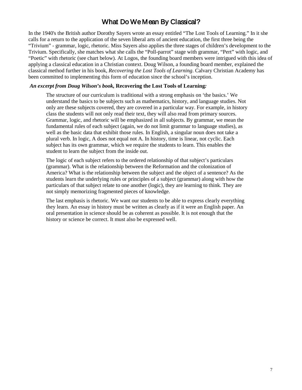### What Do We Mean By Classical?

<span id="page-6-0"></span>In the 1940's the British author Dorothy Sayers wrote an essay entitled "The Lost Tools of Learning." In it she calls for a return to the application of the seven liberal arts of ancient education, the first three being the "Trivium" - grammar, logic, rhetoric. Miss Sayers also applies the three stages of children's development to the Trivium. Specifically, she matches what she calls the "Poll-parrot" stage with grammar, "Pert" with logic, and "Poetic" with rhetoric (see chart below). At Logos, the founding board members were intrigued with this idea of applying a classical education in a Christian context. Doug Wilson, a founding board member, explained the classical method further in his book, *Recovering the Lost Tools of Learning*. Calvary Christian Academy has been committed to implementing this form of education since the school's inception.

#### *An excerpt from Doug Wilson's book,* **Recovering the Lost Tools of Learning***:*

The structure of our curriculum is traditional with a strong emphasis on 'the basics.' We understand the basics to be subjects such as mathematics, history, and language studies. Not only are these subjects covered, they are covered in a particular way. For example, in history class the students will not only read their text, they will also read from primary sources. Grammar, logic, and rhetoric will be emphasized in all subjects. By grammar, we mean the fundamental rules of each subject (again, we do not limit grammar to language studies), as well as the basic data that exhibit those rules. In English, a singular noun does not take a plural verb. In logic, A does not equal not A. In history, time is linear, not cyclic. Each subject has its own grammar, which we require the students to learn. This enables the student to learn the subject from the inside out.

The logic of each subject refers to the ordered relationship of that subject's particulars (grammar). What is the relationship between the Reformation and the colonization of America? What is the relationship between the subject and the object of a sentence? As the students learn the underlying rules or principles of a subject (grammar) along with how the particulars of that subject relate to one another (logic), they are learning to think. They are not simply memorizing fragmented pieces of knowledge.

The last emphasis is rhetoric. We want our students to be able to express clearly everything they learn. An essay in history must be written as clearly as if it were an English paper. An oral presentation in science should be as coherent as possible. It is not enough that the history or science be correct. It must also be expressed well.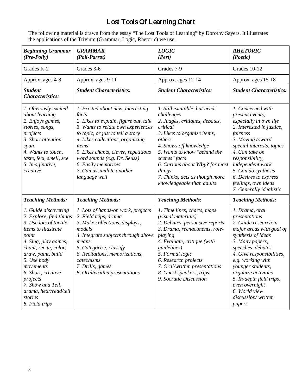# Lost Tools Of Learning Chart

<span id="page-7-0"></span>The following material is drawn from the essay "The Lost Tools of Learning" by Dorothy Sayers. It illustrates the applications of the Trivium (Grammar, Logic, Rhetoric) we use.

| <b>Beginning Grammar</b><br>(Pre-Polly)                                                                                                                                                                                                                                                                                   | <b>GRAMMAR</b><br>(Poll-Parrot)                                                                                                                                                                                                                                                                                                                          | <b>LOGIC</b><br>(Pert)                                                                                                                                                                                                                                                                                                   | <b>RHETORIC</b><br>(Poetic)                                                                                                                                                                                                                                                                                                                    |
|---------------------------------------------------------------------------------------------------------------------------------------------------------------------------------------------------------------------------------------------------------------------------------------------------------------------------|----------------------------------------------------------------------------------------------------------------------------------------------------------------------------------------------------------------------------------------------------------------------------------------------------------------------------------------------------------|--------------------------------------------------------------------------------------------------------------------------------------------------------------------------------------------------------------------------------------------------------------------------------------------------------------------------|------------------------------------------------------------------------------------------------------------------------------------------------------------------------------------------------------------------------------------------------------------------------------------------------------------------------------------------------|
| Grades K-2                                                                                                                                                                                                                                                                                                                | Grades 3-6                                                                                                                                                                                                                                                                                                                                               | Grades 7-9                                                                                                                                                                                                                                                                                                               | Grades 10-12                                                                                                                                                                                                                                                                                                                                   |
| Approx. ages 4-8                                                                                                                                                                                                                                                                                                          | Approx. ages 9-11                                                                                                                                                                                                                                                                                                                                        | Approx. ages 12-14                                                                                                                                                                                                                                                                                                       | Approx. ages 15-18                                                                                                                                                                                                                                                                                                                             |
| <b>Student</b><br><b>Characteristics:</b>                                                                                                                                                                                                                                                                                 | <b>Student Characteristics:</b>                                                                                                                                                                                                                                                                                                                          | <b>Student Characteristics:</b>                                                                                                                                                                                                                                                                                          | <b>Student Characteristics:</b>                                                                                                                                                                                                                                                                                                                |
| 1. Obviously excited<br>about learning<br>2. Enjoys games,<br>stories, songs,<br>projects<br>3. Short attention<br>span<br>4. Wants to touch,<br>taste, feel, smell, see<br>5. Imaginative,<br>creative                                                                                                                   | 1. Excited about new, interesting<br>facts<br>2. Likes to explain, figure out, talk<br>3. Wants to relate own experiences<br>to topic, or just to tell a story<br>4. Likes collections, organizing<br>items<br>5. Likes chants, clever, repetitious<br>word sounds (e.g. Dr. Seuss)<br>6. Easily memorizes<br>7. Can assimilate another<br>language well | 1. Still excitable, but needs<br>challenges<br>2. Judges, critiques, debates,<br>critical<br>3. Likes to organize items,<br>others<br>4. Shows off knowledge<br>5. Wants to know "behind the<br>scenes" facts<br>6. Curious about Why? for most<br>things<br>7. Thinks, acts as though more<br>knowledgeable than adults | 1. Concerned with<br>present events,<br>especially in own life<br>2. Interested in justice,<br>fairness<br>3. Moving toward<br>special interests, topics<br>4. Can take on<br>responsibility,<br>independent work<br>5. Can do synthesis<br>6. Desires to express<br>feelings, own ideas<br>7. Generally idealistic                            |
| <b>Teaching Methods:</b>                                                                                                                                                                                                                                                                                                  | <b>Teaching Methods:</b>                                                                                                                                                                                                                                                                                                                                 | <b>Teaching Methods:</b>                                                                                                                                                                                                                                                                                                 | <b>Teaching Methods:</b>                                                                                                                                                                                                                                                                                                                       |
| 1. Guide discovering<br>2. Explore, find things<br>3. Use lots of tactile<br>items to illustrate<br>point<br>4. Sing, play games,<br>chant, recite, color,<br>draw, paint, build<br>5. Use body<br>movements<br>6. Short, creative<br>projects<br>7. Show and Tell,<br>drama, hear/read/tell<br>stories<br>8. Field trips | 1. Lots of hands-on work, projects<br>2. Field trips, drama<br>3. Make collections, displays,<br>models<br>4. Integrate subjects through above<br>means<br>5. Categorize, classify<br>6. Recitations, memorizations,<br>catechisms<br>7. Drills, games<br>8. Oral/written presentations                                                                  | 1. Time lines, charts, maps<br>(visual materials)<br>2. Debates, persuasive reports<br>3. Drama, reenactments, role-<br>playing<br>4. Evaluate, critique (with<br>guidelines)<br>5. Formal logic<br>6. Research projects<br>7. Oral/written presentations<br>8. Guest speakers, trips<br>9. Socratic Discussion          | 1. Drama, oral<br>presentations<br>2. Guide research in<br>major areas with goal of<br>synthesis of ideas<br>3. Many papers,<br>speeches, debates<br>4. Give responsibilities,<br>e.g. working with<br>younger students,<br>organize activities<br>5. In-depth field trips,<br>even overnight<br>6. World view<br>discussion/written<br>papers |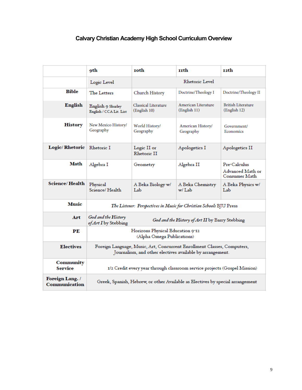### <span id="page-8-0"></span>**Calvary Christian Academy High School Curriculum Overview**

|                                         | oth                                                                                                                                  | <b>roth</b>                          | rrth                                | 12th                                              |
|-----------------------------------------|--------------------------------------------------------------------------------------------------------------------------------------|--------------------------------------|-------------------------------------|---------------------------------------------------|
|                                         | Rhetoric Level<br>Logic Level                                                                                                        |                                      |                                     |                                                   |
| <b>Bible</b>                            | The Letters                                                                                                                          | Church History                       | Doctrine/Theology I                 | Doctrine/Theology II                              |
| <b>English</b>                          | English 9 Shurley<br>English / CCA Lit. List                                                                                         | Classical Literature<br>(English 10) | American Literature<br>(English 11) | <b>British Literature</b><br>(English 12)         |
| <b>History</b>                          | New Mexico History/<br>Geography                                                                                                     | World History/<br>Geography          | American History/<br>Geography      | Government/<br>Economics                          |
| <b>Logic/Rhetoric</b>                   | Rhetoric I                                                                                                                           | Logic II or<br>Rhetoric II           | Apologetics I                       | Apologetics II                                    |
| Math                                    | Algebra I                                                                                                                            | Geometry                             | Algebra II                          | Pre-Calculus<br>Advanced Math or<br>Consumer Math |
| <b>Science/Health</b>                   | Physical<br>Science/Health                                                                                                           | A Beka Biology w/<br>Lab             | A Beka Chemistry<br>w/ Lab          | A Beka Physics w/<br>Lab                          |
| <b>Music</b>                            | The Listener: Perspectives in Music for Christian Schools BJU Press                                                                  |                                      |                                     |                                                   |
| Art                                     | God and the History<br>God and the History of Art II by Barry Stebbing<br>of Art I by Stebbing                                       |                                      |                                     |                                                   |
| PЕ                                      | Horizons Physical Education 9-12<br>(Alpha Omega Publications)                                                                       |                                      |                                     |                                                   |
| <b>Electives</b>                        | Foreign Language, Music, Art, Concurrent Enrollment Classes, Computers,<br>Journalism, and other electives available by arrangement. |                                      |                                     |                                                   |
| <b>Community</b><br><b>Service</b>      | 1/2 Credit every year through classroom service projects (Gospel Mission)                                                            |                                      |                                     |                                                   |
| Foreign Lang. /<br><b>Communication</b> | Greek, Spanish, Hebrew, or other Available as Electives by special arrangement                                                       |                                      |                                     |                                                   |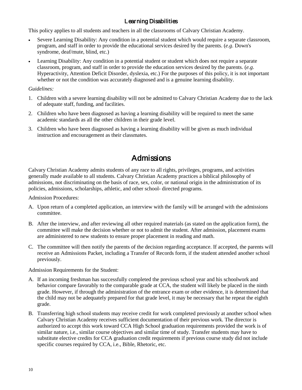### Learning Disabilities

This policy applies to all students and teachers in all the classrooms of Calvary Christian Academy.

- Severe Learning Disability: Any condition in a potential student which would require a separate classroom, program, and staff in order to provide the educational services desired by the parents. (*e.g*. Down's syndrome, deaf/mute, blind, etc.)
- Learning Disability: Any condition in a potential student or student which does not require a separate classroom, program, and staff in order to provide the education services desired by the parents. (*e.g*. Hyperactivity, Attention Deficit Disorder, dyslexia, etc.) For the purposes of this policy, it is not important whether or not the condition was accurately diagnosed and is a genuine learning disability.

### *Guidelines:*

- 1. Children with a severe learning disability will not be admitted to Calvary Christian Academy due to the lack of adequate staff, funding, and facilities.
- 2. Children who have been diagnosed as having a learning disability will be required to meet the same academic standards as all the other children in their grade level.
- 3. Children who have been diagnosed as having a learning disability will be given as much individual instruction and encouragement as their classmates.

# **Admissions**

<span id="page-9-0"></span>Calvary Christian Academy admits students of any race to all rights, privileges, programs, and activities generally made available to all students. Calvary Christian Academy practices a biblical philosophy of admissions, not discriminating on the basis of race, sex, color, or national origin in the administration of its policies, admissions, scholarships, athletic, and other school- directed programs.

Admission Procedures:

- A. Upon return of a completed application, an interview with the family will be arranged with the admissions committee.
- B. After the interview, and after reviewing all other required materials (as stated on the application form), the committee will make the decision whether or not to admit the student. After admission, placement exams are administered to new students to ensure proper placement in reading and math.
- C. The committee will then notify the parents of the decision regarding acceptance. If accepted, the parents will receive an Admissions Packet, including a Transfer of Records form, if the student attended another school previously.

Admission Requirements for the Student:

- A. If an incoming freshman has successfully completed the previous school year and his schoolwork and behavior compare favorably to the comparable grade at CCA, the student will likely be placed in the ninth grade. However, if through the administration of the entrance exam or other evidence, it is determined that the child may not be adequately prepared for that grade level, it may be necessary that he repeat the eighth grade.
- B. Transferring high school students may receive credit for work completed previously at another school when Calvary Christian Academy receives sufficient documentation of their previous work. The director is authorized to accept this work toward CCA High School graduation requirements provided the work is of similar nature, i.e., similar course objectives and similar time of study. Transfer students may have to substitute elective credits for CCA graduation credit requirements if previous course study did not include specific courses required by CCA, i.e., Bible, Rhetoric, etc.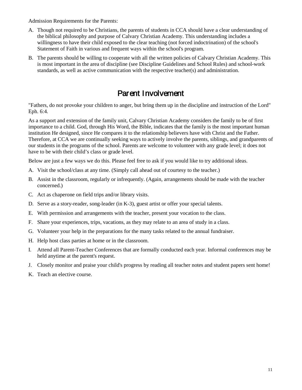Admission Requirements for the Parents:

- A. Though not required to be Christians, the parents of students in CCA should have a clear understanding of the biblical philosophy and purpose of Calvary Christian Academy. This understanding includes a willingness to have their child exposed to the clear teaching (not forced indoctrination) of the school's Statement of Faith in various and frequent ways within the school's program.
- B. The parents should be willing to cooperate with all the written policies of Calvary Christian Academy. This is most important in the area of discipline (see Discipline Guidelines and School Rules) and school-work standards, as well as active communication with the respective teacher(s) and administration.

### Parent Involvement

<span id="page-10-0"></span>"Fathers, do not provoke your children to anger, but bring them up in the discipline and instruction of the Lord" Eph. 6:4.

As a support and extension of the family unit, Calvary Christian Academy considers the family to be of first importance to a child. God, through His Word, the Bible, indicates that the family is the most important human institution He designed, since He compares it to the relationship believers have with Christ and the Father. Therefore, at CCA we are continually seeking ways to actively involve the parents, siblings, and grandparents of our students in the programs of the school. Parents are welcome to volunteer with any grade level; it does not have to be with their child's class or grade level.

Below are just a few ways we do this. Please feel free to ask if you would like to try additional ideas.

- A. Visit the school/class at any time. (Simply call ahead out of courtesy to the teacher.)
- B. Assist in the classroom, regularly or infrequently. (Again, arrangements should be made with the teacher concerned.)
- C. Act as chaperone on field trips and/or library visits.
- D. Serve as a story-reader, song-leader (in K-3), guest artist or offer your special talents.
- E. With permission and arrangements with the teacher, present your vocation to the class.
- F. Share your experiences, trips, vacations, as they may relate to an area of study in a class.
- G. Volunteer your help in the preparations for the many tasks related to the annual fundraiser.
- H. Help host class parties at home or in the classroom.
- I. Attend all Parent-Teacher Conferences that are formally conducted each year. Informal conferences may be held anytime at the parent's request.
- J. Closely monitor and praise your child's progress by reading all teacher notes and student papers sent home!
- K. Teach an elective course.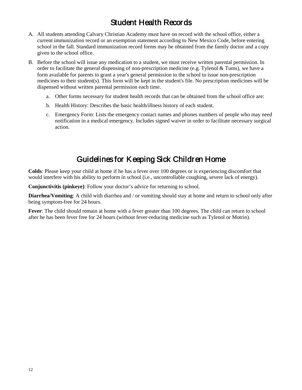# Student Health Records

- <span id="page-11-0"></span>A. All students attending Calvary Christian Academy must have on record with the school office, either a current immunization record or an exemption statement according to New Mexico Code, before entering school in the fall. Standard immunization record forms may be obtained from the family doctor and a copy given to the school office.
- B. Before the school will issue any medication to a student, we must receive written parental permission. In order to facilitate the general dispensing of non-prescription medicine (e.g. Tylenol  $&$  Tums), we have a form available for parents to grant a year's general permission to the school to issue non-prescription medicines to their student(s). This form will be kept in the student's file. No prescription medicines will be dispensed without written parental permission each time.
	- a. Other forms necessary for student health records that can be obtained from the school office are:
	- b. Health History: Describes the basic health/illness history of each student.
	- c. Emergency Form: Lists the emergency contact names and phones numbers of people who may need notification in a medical emergency. Includes signed waiver in order to facilitate necessary surgical action.

# Guidelines for Keeping Sick Children Home

<span id="page-11-1"></span>**Colds**: Please keep your child at home if he has a fever over 100 degrees or is experiencing discomfort that would interfere with his ability to perform in school (i.e., uncontrollable coughing, severe lack of energy).

**Conjunctivitis (pinkeye)**: Follow your doctor's advice for returning to school.

**Diarrhea/Vomiting**: A child with diarrhea and / or vomiting should stay at home and return to school only after being symptom-free for 24 hours.

**Fever**: The child should remain at home with a fever greater than 100 degrees. The child can return to school after he has been fever free for 24 hours (without fever-reducing medicine such as Tylenol or Motrin).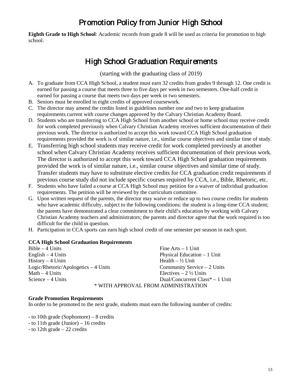# Promotion Policy from Junior High School

<span id="page-12-0"></span>**Eighth Grade to High School**: Academic records from grade 8 will be used as criteria for promotion to high school.

# High School Graduation Requirements

(starting with the graduating class of 2019)

- <span id="page-12-1"></span>A. To graduate from CCA High School, a student must earn 32 credits from grades 9 through 12. One credit is earned for passing a course that meets three to five days per week in two semesters. One-half credit is earned for passing a course that meets two days per week in two semesters.
- B. Seniors must be enrolled in eight credits of approved coursework.
- C. The director may amend the credits listed in guidelines number one and two to keep graduation requirements current with course changes approved by the Calvary Christian Academy Board.
- D. Students who are transferring to CCA High School from another school or home school may receive credit for work completed previously when Calvary Christian Academy receives sufficient documentation of their previous work. The director is authorized to accept this work toward CCA High School graduation requirements provided the work is of similar nature, i.e., similar course objectives and similar time of study.
- E. Transferring high school students may receive credit for work completed previously at another school when Calvary Christian Academy receives sufficient documentation of their previous work. The director is authorized to accept this work toward CCA High School graduation requirements provided the work is of similar nature, i.e., similar course objectives and similar time of study. Transfer students may have to substitute elective credits for CCA graduation credit requirements if previous course study did not include specific courses required by CCA, i.e., Bible, Rhetoric, etc.
- F. Students who have failed a course at CCA High School may petition for a waiver of individual graduation requirements. The petition will be reviewed by the curriculum committee.
- G. Upon written request of the parents, the director may waive or reduce up to two course credits for students who have academic difficulty, subject to the following conditions: the student is a long-time CCA student; the parents have demonstrated a clear commitment to their child's education by working with Calvary Christian Academy teachers and administrators; the parents and director agree that the work required is too difficult for the child in question.
- H. Participation in CCA sports can earn high school credit of one semester per season in each sport.

### **CCA High School Graduation Requirements**

 $Bible - 4$  Units English – 4 Units History – 4 Units Logic/Rhetoric/Apologetics – 4 Units Math – 4 Units Science – 4 Units Fine Arts – 1 Unit Physical Education – 1 Unit Health  $- \frac{1}{2}$  Unit Community Service – 2 Units Electives  $-2\frac{1}{2}$  Units Dual/Concurrent Class\* – 1 Unit \* WITH APPROVAL FROM ADMINISTRATION

#### **Grade Promotion Requirements**

In order to be promoted to the next grade, students must earn the following number of credits:

- to 10th grade (Sophomore) – 8 credits

- to 11th grade (Junior) 16 credits
- to 12th grade 22 credits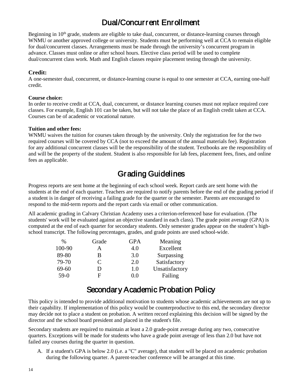# Dual/Concurrent Enrollment

<span id="page-13-0"></span>Beginning in 10<sup>th</sup> grade, students are eligible to take dual, concurrent, or distance-learning courses through WNMU or another approved college or university. Students must be performing well at CCA to remain eligible for dual/concurrent classes. Arrangements must be made through the university's concurrent program in advance. Classes must online or after school hours. Elective class period will be used to complete dual/concurrent class work. Math and English classes require placement testing through the university.

### **Credit:**

A one-semester dual, concurrent, or distance-learning course is equal to one semester at CCA, earning one-half credit.

#### **Course choice:**

In order to receive credit at CCA, dual, concurrent, or distance learning courses must not replace required core classes. For example, English 101 can be taken, but will not take the place of an English credit taken at CCA. Courses can be of academic or vocational nature.

#### **Tuition and other fees:**

WNMU waives the tuition for courses taken through by the university. Only the registration fee for the two required courses will be covered by CCA (not to exceed the amount of the annual materials fee). Registration for any additional concurrent classes will be the responsibility of the student. Textbooks are the responsibility of and will be the property of the student. Student is also responsible for lab fees, placement fees, fines, and online fees as applicable.

# Grading Guidelines

<span id="page-13-1"></span>Progress reports are sent home at the beginning of each school week. Report cards are sent home with the students at the end of each quarter. Teachers are required to notify parents before the end of the grading period if a student is in danger of receiving a failing grade for the quarter or the semester. Parents are encouraged to respond to the mid-term reports and the report cards via email or other communication.

All academic grading in Calvary Christian Academy uses a criterion-referenced base for evaluation. (The students' work will be evaluated against an objective standard in each class). The grade point average (GPA) is computed at the end of each quarter for secondary students. Only semester grades appear on the student's highschool transcript. The following percentages, grades, and grade points are used school-wide.

| $\%$   | Grade | GPA | Meaning        |
|--------|-------|-----|----------------|
| 100-90 | А     | 4.0 | Excellent      |
| 89-80  | В     | 3.0 | Surpassing     |
| 79-70  | C     | 2.0 | Satisfactory   |
| 69-60  | D     | 1.0 | Unsatisfactory |
| $59-0$ | F     | 0.0 | Failing        |

### Secondary Academic Probation Policy

<span id="page-13-2"></span>This policy is intended to provide additional motivation to students whose academic achievements are not up to their capability. If implementation of this policy would be counterproductive to this end, the secondary director may decide not to place a student on probation. A written record explaining this decision will be signed by the director and the school board president and placed in the student's file.

Secondary students are required to maintain at least a 2.0 grade-point average during any two, consecutive quarters. Exceptions will be made for students who have a grade point average of less than 2.0 but have not failed any courses during the quarter in question.

A. If a student's GPA is below 2.0 (i.e. a "C" average), that student will be placed on academic probation during the following quarter. A parent-teacher conference will be arranged at this time.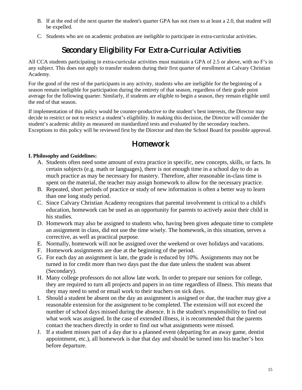- B. If at the end of the next quarter the student's quarter GPA has not risen to at least a 2.0, that student will be expelled.
- <span id="page-14-0"></span>C. Students who are on academic probation are ineligible to participate in extra-curricular activities.

# Secondary Eligibility For Extra-Curricular Activities

All CCA students participating in extra-curricular activities must maintain a GPA of 2.5 or above, with no F's in any subject. This does not apply to transfer students during their first quarter of enrollment at Calvary Christian Academy.

For the good of the rest of the participants in any activity, students who are ineligible for the beginning of a season remain ineligible for participation during the entirety of that season, regardless of their grade point average for the following quarter. Similarly, if students are eligible to begin a season, they remain eligible until the end of that season.

If implementation of this policy would be counter-productive to the student's best interests, the Director may decide to restrict or not to restrict a student's eligibility. In making this decision, the Director will consider the student's academic ability as measured on standardized tests and evaluated by the secondary teachers. Exceptions to this policy will be reviewed first by the Director and then the School Board for possible approval.

# **Homework**

### <span id="page-14-1"></span>**I. Philosophy and Guidelines:**

- A. Students often need some amount of extra practice in specific, new concepts, skills, or facts. In certain subjects (e.g. math or languages), there is not enough time in a school day to do as much practice as may be necessary for mastery. Therefore, after reasonable in-class time is spent on the material, the teacher may assign homework to allow for the necessary practice.
- B. Repeated, short periods of practice or study of new information is often a better way to learn than one long study period.
- C. Since Calvary Christian Academy recognizes that parental involvement is critical to a child's education, homework can be used as an opportunity for parents to actively assist their child in his studies.
- D. Homework may also be assigned to students who, having been given adequate time to complete an assignment in class, did not use the time wisely. The homework, in this situation, serves a corrective, as well as practical purpose.
- E. Normally, homework will not be assigned over the weekend or over holidays and vacations.
- F. Homework assignments are due at the beginning of the period.
- G. For each day an assignment is late, the grade is reduced by 10%. Assignments may not be turned in for credit more than two days past the due date unless the student was absent (Secondary).
- H. Many college professors do not allow late work. In order to prepare our seniors for college, they are required to turn all projects and papers in on time regardless of illness. This means that they may need to send or email work to their teachers on sick days.
- I. Should a student be absent on the day an assignment is assigned or due, the teacher may give a reasonable extension for the assignment to be completed. The extension will not exceed the number of school days missed during the absence. It is the student's responsibility to find out what work was assigned. In the case of extended illness, it is recommended that the parents contact the teachers directly in order to find out what assignments were missed.
- J. If a student misses part of a day due to a planned event (departing for an away game, dentist appointment, etc.), all homework is due that day and should be turned into his teacher's box before departure.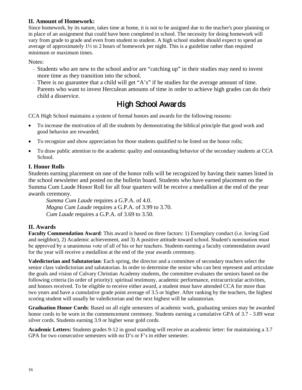### **II. Amount of Homework:**

Since homework, by its nature, takes time at home, it is not to be assigned due to the teacher's poor planning or in place of an assignment that could have been completed in school. The necessity for doing homework will vary from grade to grade and even from student to student. A high school student should expect to spend an average of approximately 1½ to 2 hours of homework per night. This is a guideline rather than required minimum or maximum times.

Notes:

- <sup>−</sup> Students who are new to the school and/or are "catching up" in their studies may need to invest more time as they transition into the school.
- <sup>−</sup> There is no guarantee that a child will get "A's" if he studies for the average amount of time. Parents who want to invest Herculean amounts of time in order to achieve high grades can do their child a disservice.

# High School Awards

<span id="page-15-0"></span>CCA High School maintains a system of formal honors and awards for the following reasons:

- To increase the motivation of all the students by demonstrating the biblical principle that good work and good behavior are rewarded;
- To recognize and show appreciation for those students qualified to be listed on the honor rolls;
- To draw public attention to the academic quality and outstanding behavior of the secondary students at CCA School.

### **I. Honor Rolls**

Students earning placement on one of the honor rolls will be recognized by having their names listed in the school newsletter and posted on the bulletin board. Students who have earned placement on the Summa Cum Laude Honor Roll for all four quarters will be receive a medallion at the end of the year awards ceremony.

*Summa Cum Laude* requires a G.P.A. of 4.0. *Magna Cum Laude* requires a G.P.A. of 3.99 to 3.70. *Cum Laude* requires a G.P.A. of 3.69 to 3.50.

### **II. Awards**

**Faculty Commendation Award**: This award is based on three factors: 1) Exemplary conduct (i.e. loving God and neighbor), 2) Academic achievement, and 3) A positive attitude toward school. Student's nomination must be approved by a unanimous vote of all of his or her teachers. Students earning a faculty commendation award for the year will receive a medallion at the end of the year awards ceremony.

**Valedictorian and Salutatorian**: Each spring, the director and a committee of secondary teachers select the senior class valedictorian and salutatorian. In order to determine the senior who can best represent and articulate the goals and vision of Calvary Christian Academy students, the committee evaluates the seniors based on the following criteria (in order of priority): spiritual testimony, academic performance, extracurricular activities, and honors received. To be eligible to receive either award, a student must have attended CCA for more than two years and have a cumulative grade point average of 3.5 or higher. After ranking by the teachers, the highest scoring student will usually be valedictorian and the next highest will be salutatorian.

**Graduation Honor Cords**: Based on all eight semesters of academic work, graduating seniors may be awarded honor cords to be worn in the commencement ceremony. Students earning a cumulative GPA of 3.7 - 3.89 wear silver cords. Students earning 3.9 or higher wear gold cords.

**Academic Letters:** Students grades 9-12 in good standing will receive an academic letter: for maintaining a 3.7 GPA for two consecutive semesters with no D's or F's in either semester.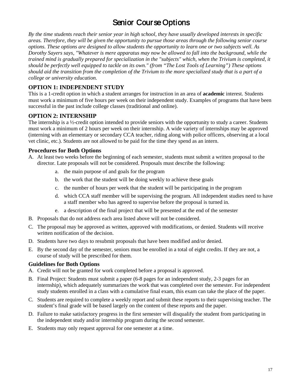# Senior Course Options

<span id="page-16-0"></span>*By the time students reach their senior year in high school, they have usually developed interests in specific areas. Therefore, they will be given the opportunity to pursue those areas through the following senior course options. These options are designed to allow students the opportunity to learn one or two subjects well. As Dorothy Sayers says, "Whatever is mere apparatus may now be allowed to fall into the background, while the trained mind is gradually prepared for specialization in the "subjects" which, when the Trivium is completed, it should be perfectly well equipped to tackle on its own." (from "The Lost Tools of Learning") These options should aid the transition from the completion of the Trivium to the more specialized study that is a part of a college or university education.* 

### **OPTION 1: INDEPENDENT STUDY**

This is a 1-credit option in which a student arranges for instruction in an area of **academic** interest. Students must work a minimum of five hours per week on their independent study. Examples of programs that have been successful in the past include college classes (traditional and online).

### **OPTION 2: INTERNSHIP**

The internship is a ½-credit option intended to provide seniors with the opportunity to study a career. Students must work a minimum of 2 hours per week on their internship. A wide variety of internships may be approved (interning with an elementary or secondary CCA teacher, riding along with police officers, observing at a local vet clinic, etc.). Students are not allowed to be paid for the time they spend as an intern.

### **Procedures for Both Options**

- A. At least two weeks before the beginning of each semester, students must submit a written proposal to the director. Late proposals will not be considered. Proposals must describe the following:
	- a. the main purpose of and goals for the program
	- b. the work that the student will be doing weekly to achieve these goals
	- c. the number of hours per week that the student will be participating in the program
	- d. which CCA staff member will be supervising the program. All independent studies need to have a staff member who has agreed to supervise before the proposal is turned in.
	- e. a description of the final project that will be presented at the end of the semester
- B. Proposals that do not address each area listed above will not be considered.
- C. The proposal may be approved as written, approved with modifications, or denied. Students will receive written notification of the decision.
- D. Students have two days to resubmit proposals that have been modified and/or denied.
- E. By the second day of the semester, seniors must be enrolled in a total of eight credits. If they are not, a course of study will be prescribed for them.

### **Guidelines for Both Options**

- A. Credit will not be granted for work completed before a proposal is approved.
- B. Final Project: Students must submit a paper (6-8 pages for an independent study, 2-3 pages for an internship), which adequately summarizes the work that was completed over the semester. For independent study students enrolled in a class with a cumulative final exam, this exam can take the place of the paper.
- C. Students are required to complete a weekly report and submit these reports to their supervising teacher. The student's final grade will be based largely on the content of these reports and the paper.
- D. Failure to make satisfactory progress in the first semester will disqualify the student from participating in the independent study and/or internship program during the second semester.
- E. Students may only request approval for one semester at a time.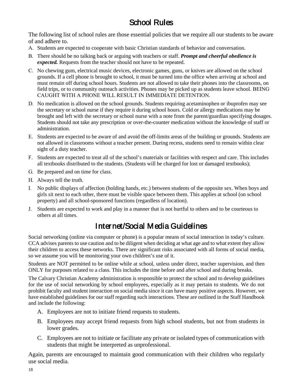# School Rules

<span id="page-17-0"></span>The following list of school rules are those essential policies that we require all our students to be aware of and adhere to.

- A. Students are expected to cooperate with basic Christian standards of behavior and conversation.
- B. There should be no talking back or arguing with teachers or staff. *Prompt and cheerful obedience is expected.* Requests from the teacher should not have to be repeated.
- C. No chewing gum, electrical music devices, electronic games, guns, or knives are allowed on the school grounds. If a cell phone is brought to school, it must be turned into the office when arriving at school and must remain off during school hours. Students are not allowed to take their phones into the classrooms, on field trips, or to community outreach activities. Phones may be picked up as students leave school. BEING CAUGHT WITH A PHONE WILL RESULT IN IMMEDIATE DETENTION.
- D. No medication is allowed on the school grounds. Students requiring acetaminophen or ibuprofen may see the secretary or school nurse if they require it during school hours. Cold or allergy medications may be brought and left with the secretary or school nurse with a note from the parent/guardian specifying dosages. Students should not take any prescription or over-the-counter medication without the knowledge of staff or administration.
- E. Students are expected to be aware of and avoid the off-limits areas of the building or grounds. Students are not allowed in classrooms without a teacher present. During recess, students need to remain within clear sight of a duty teacher.
- F. Students are expected to treat all of the school's materials or facilities with respect and care. This includes all textbooks distributed to the students. (Students will be charged for lost or damaged textbooks);
- G. Be prepared and on time for class.
- H. Always tell the truth.
- I. No public displays of affection (holding hands, etc.) between students of the opposite sex. When boys and girls sit next to each other, there must be visible space between them. This applies at school (on school property) and all school-sponsored functions (regardless of location).
- J. Students are expected to work and play in a manner that is not hurtful to others and to be courteous to others at all times.

# Internet/Social Media Guidelines

Social networking (online via computer or phone) is a popular means of social interaction in today's culture. CCA advises parents to use caution and to be diligent when deciding at what age and to what extent they allow their children to access these networks. There are significant risks associated with all forms of social media, so we assume you will be monitoring your own children's use of it.

Students are NOT permitted to be online while at school, unless under direct, teacher supervision, and then ONLY for purposes related to a class. This includes the time before and after school and during breaks.

The Calvary Christian Academy administration is responsible to protect the school and to develop guidelines for the use of social networking by school employees, especially as it may pertain to students. We do not prohibit faculty and student interaction on social media since it can have many positive aspects. However, we have established guidelines for our staff regarding such interactions. These are outlined in the Staff Handbook and include the following:

- A. Employees are not to initiate friend requests to students.
- B. Employees may accept friend requests from high school students, but not from students in lower grades.
- C. Employees are not to initiate or facilitate any private or isolated types of communication with students that might be interpreted as unprofessional.

Again, parents are encouraged to maintain good communication with their children who regularly use social media.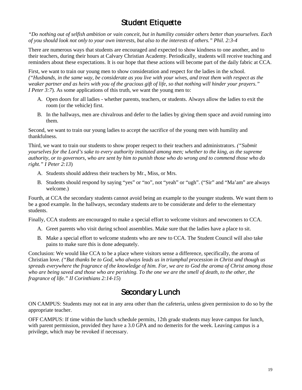# **Student Etiquette**

<span id="page-18-0"></span>*"Do nothing out of selfish ambition or vain conceit, but in humility consider others better than yourselves. Each of you should look not only to your own interests, but also to the interests of others." Phil. 2:3-4* 

There are numerous ways that students are encouraged and expected to show kindness to one another, and to their teachers, during their hours at Calvary Christian Academy. Periodically, students will receive teaching and reminders about these expectations. It is our hope that these actions will become part of the daily fabric at CCA.

First, we want to train our young men to show consideration and respect for the ladies in the school. *("Husbands, in the same way, be considerate as you live with your wives, and treat them with respect as the weaker partner and as heirs with you of the gracious gift of life, so that nothing will hinder your prayers." I Peter 3:7*). As some applications of this truth, we want the young men to:

- A. Open doors for all ladies whether parents, teachers, or students. Always allow the ladies to exit the room (or the vehicle) first.
- B. In the hallways, men are chivalrous and defer to the ladies by giving them space and avoid running into them.

Second, we want to train our young ladies to accept the sacrifice of the young men with humility and thankfulness.

Third, we want to train our students to show proper respect to their teachers and administrators. *("Submit yourselves for the Lord's sake to every authority instituted among men; whether to the king, as the supreme authority, or to governors, who are sent by him to punish those who do wrong and to commend those who do right." I Peter 2:13*)

- A. Students should address their teachers by Mr., Miss, or Mrs.
- B. Students should respond by saying "yes" or "no", not "yeah" or "ugh". ("Sir" and "Ma'am" are always welcome.)

Fourth, at CCA the secondary students cannot avoid being an example to the younger students. We want them to be a good example. In the hallways, secondary students are to be considerate and defer to the elementary students.

Finally, CCA students are encouraged to make a special effort to welcome visitors and newcomers to CCA.

- A. Greet parents who visit during school assemblies. Make sure that the ladies have a place to sit.
- B. Make a special effort to welcome students who are new to CCA. The Student Council will also take pains to make sure this is done adequately.

Conclusion: We would like CCA to be a place where visitors sense a difference, specifically, the aroma of Christian love. *("But thanks be to God, who always leads us in triumphal procession in Christ and though us spreads everywhere the fragrance of the knowledge of him. For, we are to God the aroma of Christ among those who are being saved and those who are perishing. To the one we are the smell of death, to the other, the fragrance of life." II Corinthians 2:14-15*)

### Secondary Lunch

<span id="page-18-1"></span>ON CAMPUS: Students may not eat in any area other than the cafeteria, unless given permission to do so by the appropriate teacher.

OFF CAMPUS: If time within the lunch schedule permits, 12th grade students may leave campus for lunch, with parent permission, provided they have a 3.0 GPA and no demerits for the week. Leaving campus is a privilege, which may be revoked if necessary.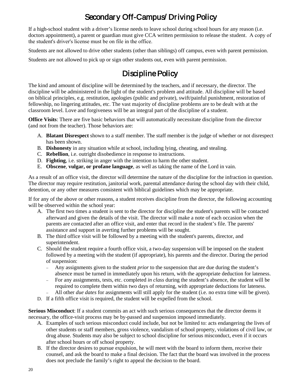# Secondary Off-Campus/ Driving Policy

<span id="page-19-0"></span>If a high-school student with a driver's license needs to leave school during school hours for any reason (i.e. doctors appointment), a parent or guardian must give CCA written permission to release the student. A copy of the student's driver's license must be on file in the office.

Students are not allowed to drive other students (other than siblings) off campus, even with parent permission.

<span id="page-19-1"></span>Students are not allowed to pick up or sign other students out, even with parent permission.

# Discipline Policy

The kind and amount of discipline will be determined by the teachers, and if necessary, the director. The discipline will be administered in the light of the student's problem and attitude. All discipline will be based on biblical principles, e.g. restitution, apologies (public and private), swift/painful punishment, restoration of fellowship, no lingering attitudes, etc. The vast majority of discipline problems are to be dealt with at the classroom level. Love and forgiveness will be an integral part of the discipline of a student.

**Office Visits**: There are five basic behaviors that will automatically necessitate discipline from the director (and not from the teacher). Those behaviors are:

- A. **Blatant Disrespect** shown to a staff member. The staff member is the judge of whether or not disrespect has been shown.
- B. **Dishonesty** in any situation while at school, including lying, cheating, and stealing.
- C. **Rebellion**, i.e. outright disobedience in response to instructions.
- D. **Fighting**, i.e. striking in anger with the intention to harm the other student.
- E. **Obscene**, **vulgar, or profane language**, as well as taking the name of the Lord in vain.

As a result of an office visit, the director will determine the nature of the discipline for the infraction in question. The director may require restitution, janitorial work, parental attendance during the school day with their child, detention, or any other measures consistent with biblical guidelines which may be appropriate.

If for any of the above or other reasons, a student receives discipline from the director, the following accounting will be observed within the school year:

- A. The first two times a student is sent to the director for discipline the student's parents will be contacted afterward and given the details of the visit. The director will make a note of each occasion when the parents are contacted after an office visit, and enter that record in the student's file. The parents' assistance and support in averting further problems will be sought.
- B. The third office visit will be followed by a meeting with the student's parents, director, and superintendent.
- C. Should the student require a fourth office visit, a two-day suspension will be imposed on the student followed by a meeting with the student (if appropriate), his parents and the director. During the period of suspension:
	- − Any assignments given to the student *prior* to the suspension that are due during the student's absence must be turned in immediately upon his return, with the appropriate deduction for lateness.
	- − For any assignments, tests, etc. completed *in class* during the student's absence, the student will be required to complete them within two days of returning, with appropriate deductions for lateness. All other *due dates* for assignments will still apply for the student (i.e. no extra time will be given).
- D. If a fifth office visit is required, the student will be expelled from the school.

**Serious Misconduct**: If a student commits an act with such serious consequences that the director deems it necessary, the office-visit process may be by-passed and suspension imposed immediately.

- A. Examples of such serious misconduct could include, but not be limited to: acts endangering the lives of other students or staff members, gross violence, vandalism of school property, violations of civil law, or drug abuse. Students may also be subject to school discipline for serious misconduct, even if it occurs after school hours or off school property.
- B. If the director desires to pursue expulsion, he will meet with the board to inform them, receive their counsel, and ask the board to make a final decision. The fact that the board was involved in the process does not preclude the family's right to appeal the decision to the board.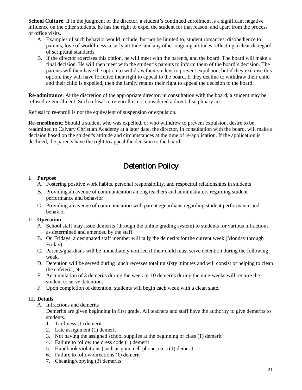**School Culture**: If in the judgment of the director, a student's continued enrollment is a significant negative influence on the other students, he has the right to expel the student for that reason, and apart from the process of office visits.

- A. Examples of such behavior would include, but not be limited to, student romances, disobedience to parents, love of worldliness, a surly attitude, and any other ongoing attitudes reflecting a clear disregard of scriptural standards.
- B. If the director exercises this option, he will meet with the parents, and the board. The board will make a final decision. He will then meet with the student's parents to inform them of the board's decision. The parents will then have the option to withdraw their student to prevent expulsion, but if they exercise this option, they will have forfeited their right to appeal to the board. If they decline to withdraw their child and their child is expelled, then the family retains their right to appeal the decision to the board.

**Re-admittance**: At the discretion of the appropriate director, in consultation with the board, a student may be refused re-enrollment. Such refusal to re-enroll is not considered a direct disciplinary act.

Refusal to re-enroll is not the equivalent of suspension or expulsion.

**Re-enrollment**: Should a student who was expelled, or who withdrew to prevent expulsion, desire to be readmitted to Calvary Christian Academy at a later date, the director, in consultation with the board, will make a decision based on the student's attitude and circumstances at the time of re-application. If the application is declined, the parents have the right to appeal the decision to the board.

# Detention Policy

### <span id="page-20-0"></span>I. **Purpose**

- A. Fostering positive work habits, personal responsibility, and respectful relationships in students
- B. Providing an avenue of communication among teachers and administrators regarding student performance and behavior
- C. Providing an avenue of communication with parents/guardians regarding student performance and behavior

### II. **Operation**

- A. School staff may issue demerits (through the online grading system) to students for various infractions as determined and amended by the staff.
- B. On Fridays, a designated staff member will tally the demerits for the current week (Monday through Friday).
- C. Parents/guardians will be immediately notified if their child must serve detention during the following week.
- D. Detention will be served during lunch recesses totaling sixty minutes and will consist of helping to clean the cafeteria, etc.
- E. Accumulation of 3 demerits during the week or 10 demerits during the nine-weeks will require the student to serve detention.
- F. Upon completion of detention, students will begin each week with a clean slate.

### III. **Details**

A. Infractions and demerits

Demerits are given beginning in first grade. All teachers and staff have the authority to give demerits to students.

- 1. Tardiness (1) demerit
- 2. Late assignment (1) demerit
- 3. Not having the assigned school supplies at the beginning of class (1) demerit
- 4. Failure to follow the dress code (1) demerit
- 5. Handbook violations (such as gum, cell phone, etc.) (1) demerit
- 6. Failure to follow directions (1) demerit
- 7. Cheating/copying (3) demerits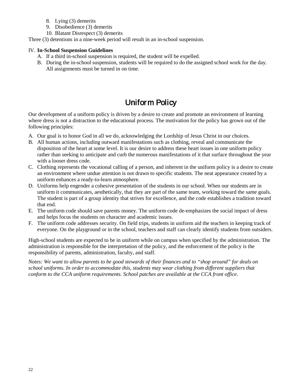- 8. Lying (3) demerits
- 9. Disobedience (3) demerits
- 10. Blatant Disrespect (3) demerits

Three (3) detentions in a nine-week period will result in an in-school suspension.

### IV. **In-School Suspension Guidelines**

- A. If a third in-school suspension is required, the student will be expelled.
- B. During the in-school suspension, students will be required to do the assigned school work for the day. All assignments must be turned in on time.

# Uniform Policy

<span id="page-21-0"></span>Our development of a uniform policy is driven by a desire to create and promote an environment of learning where dress is not a distraction to the educational process. The motivation for the policy has grown out of the following principles:

- A. Our goal is to honor God in all we do, acknowledging the Lordship of Jesus Christ in our choices.
- B. All human actions, including outward manifestations such as clothing, reveal and communicate the disposition of the heart at some level. It is our desire to address these heart issues in one uniform policy rather than seeking to anticipate and curb the numerous manifestations of it that surface throughout the year with a looser dress code.
- C. Clothing represents the vocational calling of a person, and inherent in the uniform policy is a desire to create an environment where undue attention is not drawn to specific students. The neat appearance created by a uniform enhances a ready-to-learn atmosphere.
- D. Uniforms help engender a cohesive presentation of the students in our school. When our students are in uniform it communicates, aesthetically, that they are part of the same team, working toward the same goals. The student is part of a group identity that strives for excellence, and the code establishes a tradition toward that end.
- E. The uniform code should save parents money. The uniform code de-emphasizes the social impact of dress and helps focus the students on character and academic issues.
- F. The uniform code addresses security. On field trips, students in uniform aid the teachers in keeping track of everyone. On the playground or in the school, teachers and staff can clearly identify students from outsiders.

High-school students are expected to be in uniform while on campus when specified by the administration. The administration is responsible for the interpretation of the policy, and the enforcement of the policy is the responsibility of parents, administration, faculty, and staff.

*Notes: We want to allow parents to be good stewards of their finances and to "shop around" for deals on school uniforms. In order to accommodate this, students may wear clothing from different suppliers that conform to the CCA uniform requirements. School patches are available at the CCA front office.*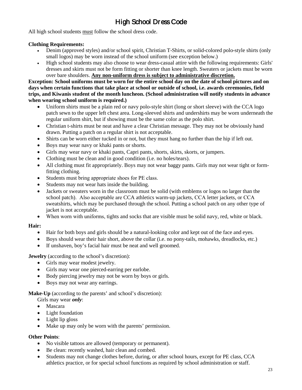# High School Dress Code

All high school students must follow the school dress code.

### **Clothing Requirements:**

- Denim (approved styles) and/or school spirit, Christian T-Shirts, or solid-colored polo-style shirts (only small logos) may be worn instead of the school uniform (see exception below.)
- High school students may also choose to wear dress-casual attire with the following requirements: Girls' dresses and skirts must not be form fitting or shorter than knee length. Sweaters or jackets must be worn over bare shoulders. **Any non-uniform dress is subject to administrative discretion.**

**Exception: School uniforms must be worn for the entire school day on the date of school pictures and on days when certain functions that take place at school or outside of school, i.e. awards ceremonies, field trips, and Kiwanis student of the month luncheon. (School administration will notify students in advance when wearing school uniform is required.)**

- Uniform shirts must be a plain red or navy polo-style shirt (long or short sleeve) with the CCA logo patch sewn to the upper left chest area. Long-sleeved shirts and undershirts may be worn underneath the regular uniform shirt, but if showing must be the same color as the polo shirt.
- Christian t-shirts must be neat and have a clear Christian message. They may not be obviously hand drawn. Putting a patch on a regular shirt is not acceptable.
- Shirts can be worn either tucked in or not, but they must hang no further than the hip if left out.
- Boys may wear navy or khaki pants or shorts.
- Girls may wear navy or khaki pants, Capri pants, shorts, skirts, skorts, or jumpers.
- Clothing must be clean and in good condition (i.e. no holes/tears).
- All clothing must fit appropriately. Boys may not wear baggy pants. Girls may not wear tight or formfitting clothing.
- Students must bring appropriate shoes for PE class.
- Students may not wear hats inside the building.
- Jackets or sweaters worn in the classroom must be solid (with emblems or logos no larger than the school patch). Also acceptable are CCA athletics warm-up jackets, CCA letter jackets, or CCA sweatshirts, which may be purchased through the school. Putting a school patch on any other type of jacket is not acceptable.
- When worn with uniforms, tights and socks that are visible must be solid navy, red, white or black.

### **Hair:**

- Hair for both boys and girls should be a natural-looking color and kept out of the face and eyes.
- Boys should wear their hair short, above the collar (i.e. no pony-tails, mohawks, dreadlocks, etc.)
- If unshaven, boy's facial hair must be neat and well groomed.

**Jewelry** (according to the school's discretion):

- Girls may wear modest jewelry.
- Girls may wear one pierced-earring per earlobe.
- Body piercing jewelry may not be worn by boys or girls.
- Boys may not wear any earrings.

#### **Make-Up** (according to the parents' and school's discretion):

- Girls may wear *only*:
- Mascara
- Light foundation
- Light lip gloss
- Make up may only be worn with the parents' permission.

### **Other Points**:

- No visible tattoos are allowed (temporary or permanent).
- Be clean: recently washed, hair clean and combed.
- Students may not change clothes before, during, or after school hours, except for PE class, CCA athletics practice, or for special school functions as required by school administration or staff.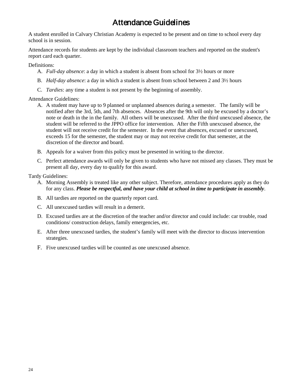# Attendance Guidelines

<span id="page-23-0"></span>A student enrolled in Calvary Christian Academy is expected to be present and on time to school every day school is in session.

Attendance records for students are kept by the individual classroom teachers and reported on the student's report card each quarter.

Definitions:

- A. *Full-day absence*: a day in which a student is absent from school for 3½ hours or more
- B. *Half-day absence*: a day in which a student is absent from school between 2 and 3½ hours
- C. *Tardies*: any time a student is not present by the beginning of assembly.

Attendance Guidelines:

- A. A student may have up to 9 planned or unplanned absences during a semester. The family will be notified after the 3rd, 5th, and 7th absences. Absences after the 9th will only be excused by a doctor's note or death in the in the family. All others will be unexcused. After the third unexcused absence, the student will be referred to the JPPO office for intervention. After the Fifth unexcused absence, the student will not receive credit for the semester. In the event that absences, excused or unexcused, exceeds 15 for the semester, the student may or may not receive credit for that semester, at the discretion of the director and board.
- B. Appeals for a waiver from this policy must be presented in writing to the director.
- C. Perfect attendance awards will only be given to students who have not missed any classes. They must be present all day, every day to qualify for this award.

Tardy Guidelines:

- A. Morning Assembly is treated like any other subject. Therefore, attendance procedures apply as they do for any class. *Please be respectful, and have your child at school in time to participate in assembly*.
- B. All tardies are reported on the quarterly report card.
- C. All unexcused tardies will result in a demerit.
- D. Excused tardies are at the discretion of the teacher and/or director and could include: car trouble, road conditions/ construction delays, family emergencies, etc.
- E. After three unexcused tardies, the student's family will meet with the director to discuss intervention strategies.
- F. Five unexcused tardies will be counted as one unexcused absence.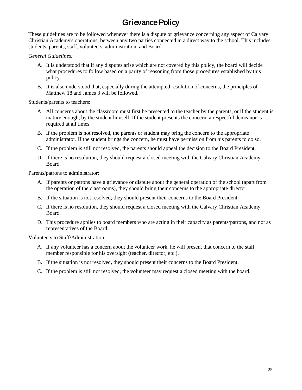# Grievance Policy

<span id="page-24-0"></span>These guidelines are to be followed whenever there is a dispute or grievance concerning any aspect of Calvary Christian Academy's operations, between any two parties connected in a direct way to the school. This includes students, parents, staff, volunteers, administration, and Board.

#### *General Guidelines:*

- A. It is understood that if any disputes arise which are not covered by this policy, the board will decide what procedures to follow based on a parity of reasoning from those procedures established by this policy.
- B. It is also understood that, especially during the attempted resolution of concerns, the principles of Matthew 18 and James 3 will be followed.

Students/parents to teachers:

- A. All concerns about the classroom must first be presented to the teacher by the parents, or if the student is mature enough, by the student himself. If the student presents the concern, a respectful demeanor is required at all times.
- B. If the problem is not resolved, the parents or student may bring the concern to the appropriate administrator. If the student brings the concern, he must have permission from his parents to do so.
- C. If the problem is still not resolved, the parents should appeal the decision to the Board President.
- D. If there is no resolution, they should request a closed meeting with the Calvary Christian Academy Board.

Parents/patrons to administrator:

- A. If parents or patrons have a grievance or dispute about the general operation of the school (apart from the operation of the classrooms), they should bring their concerns to the appropriate director.
- B. If the situation is not resolved, they should present their concerns to the Board President.
- C. If there is no resolution, they should request a closed meeting with the Calvary Christian Academy Board.
- D. This procedure applies to board members who are acting in their capacity as parents/patrons, and not as representatives of the Board.

Volunteers to Staff/Administration:

- A. If any volunteer has a concern about the volunteer work, he will present that concern to the staff member responsible for his oversight (teacher, director, etc.).
- B. If the situation is not resolved, they should present their concerns to the Board President.
- C. If the problem is still not resolved, the volunteer may request a closed meeting with the board.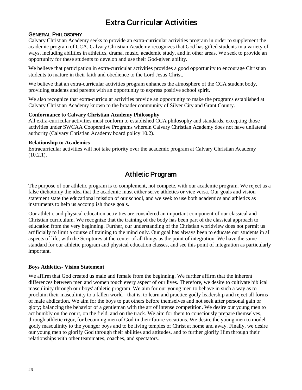# Extra Curricular Activities

### <span id="page-25-0"></span>GENERAL PHILOSOPHY

Calvary Christian Academy seeks to provide an extra-curricular activities program in order to supplement the academic program of CCA. Calvary Christian Academy recognizes that God has gifted students in a variety of ways, including abilities in athletics, drama, music, academic study, and in other areas. We seek to provide an opportunity for these students to develop and use their God-given ability.

We believe that participation in extra-curricular activities provides a good opportunity to encourage Christian students to mature in their faith and obedience to the Lord Jesus Christ.

We believe that an extra-curricular activities program enhances the atmosphere of the CCA student body, providing students and parents with an opportunity to express positive school spirit.

We also recognize that extra-curricular activities provide an opportunity to make the programs established at Calvary Christian Academy known to the broader community of Silver City and Grant County.

#### **Conformance to Calvary Christian Academy Philosophy**

All extra-curricular activities must conform to established CCA philosophy and standards, excepting those activities under SWCAA Cooperative Programs wherein Calvary Christian Academy does not have unilateral authority (Calvary Christian Academy board policy 10.2).

#### **Relationship to Academics**

Extracurricular activities will not take priority over the academic program at Calvary Christian Academy  $(10.2.1)$ .

### Athletic Program

<span id="page-25-1"></span>The purpose of our athletic program is to complement, not compete, with our academic program. We reject as a false dichotomy the idea that the academic must either serve athletics or vice versa. Our goals and vision statement state the educational mission of our school, and we seek to use both academics and athletics as instruments to help us accomplish those goals.

Our athletic and physical education activities are considered an important component of our classical and Christian curriculum. We recognize that the training of the body has been part of the classical approach to education from the very beginning. Further, our understanding of the Christian worldview does not permit us artificially to limit a course of training to the mind only. Our goal has always been to educate our students in all aspects of life, with the Scriptures at the center of all things as the point of integration. We have the same standard for our athletic program and physical education classes, and see this point of integration as particularly important.

### **Boys Athletics- Vision Statement**

We affirm that God created us male and female from the beginning. We further affirm that the inherent differences between men and women touch every aspect of our lives. Therefore, we desire to cultivate biblical masculinity through our boys' athletic program. We aim for our young men to behave in such a way as to proclaim their masculinity to a fallen world - that is, to learn and practice godly leadership and reject all forms of male abdication. We aim for the boys to put others before themselves and not seek after personal gain or glory; balancing the behavior of a gentleman with the art of intense competition. We desire our young men to act humbly on the court, on the field, and on the track. We aim for them to consciously prepare themselves, through athletic rigor, for becoming men of God in their future vocations. We desire the young men to model godly masculinity to the younger boys and to be living temples of Christ at home and away. Finally, we desire our young men to glorify God through their abilities and attitudes, and to further glorify Him through their relationships with other teammates, coaches, and spectators.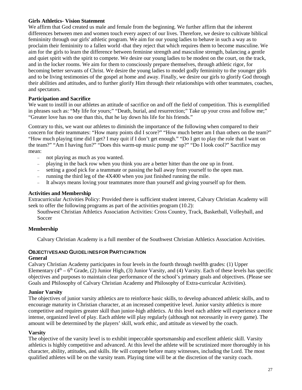#### **Girls Athletics- Vision Statement**

We affirm that God created us male and female from the beginning. We further affirm that the inherent differences between men and women touch every aspect of our lives. Therefore, we desire to cultivate biblical femininity through our girls' athletic program. We aim for our young ladies to behave in such a way as to proclaim their femininity to a fallen world -that they reject that which requires them to become masculine. We aim for the girls to learn the difference between feminine strength and masculine strength, balancing a gentle and quiet spirit with the spirit to compete. We desire our young ladies to be modest on the court, on the track, and in the locker rooms. We aim for them to consciously prepare themselves, through athletic rigor, for becoming better servants of Christ. We desire the young ladies to model godly femininity to the younger girls and to be living testimonies of the gospel at home and away. Finally, we desire our girls to glorify God through their abilities and attitudes, and to further glorify Him through their relationships with other teammates, coaches, and spectators.

#### **Participation and Sacrifice**

We want to instill in our athletes an attitude of sacrifice on and off the field of competition. This is exemplified in phrases such as: "My life for yours;" "Death, burial, and resurrection;" Take up your cross and follow me;" "Greater love has no one than this, that he lay down his life for his friends."

Contrary to this, we want our athletes to diminish the importance of the following when compared to their concern for their teammates: "How many points did I score?" "How much better am I than others on the team?" "How much playing time did I get? I may quit if I don't get enough." "Do I get to play the role that I want on the team?" "Am I having fun?" "Does this warm-up music pump me up?" "Do I look cool?" Sacrifice may mean:

- − not playing as much as you wanted.
- − playing in the back row when you think you are a better hitter than the one up in front.
- − setting a good pick for a teammate or passing the ball away from yourself to the open man.
- − running the third leg of the 4X400 when you just finished running the mile.
- − It always means loving your teammates more than yourself and giving yourself up for them.

#### **Activities and Membership**

Extracurricular Activities Policy: Provided there is sufficient student interest, Calvary Christian Academy will seek to offer the following programs as part of the activities program (10.2):

Southwest Christian Athletics Association Activities: Cross Country, Track, Basketball, Volleyball, and Soccer

### **Membership**

Calvary Christian Academy is a full member of the Southwest Christian Athletics Association Activities.

### OBJECTIVES AND GUIDELINES FOR PARTICIPATION

#### **General**

Calvary Christian Academy participates in four levels in the fourth through twelfth grades: (1) Upper Elementary  $(4<sup>th</sup> – 6<sup>th</sup> Grade, (2) Junior High, (3) Junior Varsity, and (4) Varsity. Each of these levels has specific$ objectives and purposes to maintain clear performance of the school's primary goals and objectives. (Please see Goals and Philosophy of Calvary Christian Academy and Philosophy of Extra-curricular Activities).

#### **Junior Varsity**

The objectives of junior varsity athletics are to reinforce basic skills, to develop advanced athletic skills, and to encourage maturity in Christian character, at an increased competitive level. Junior varsity athletics is more competitive and requires greater skill than junior-high athletics. At this level each athlete will experience a more intense, organized level of play. Each athlete will play regularly (although not necessarily in every game). The amount will be determined by the players' skill, work ethic, and attitude as viewed by the coach.

#### **Varsity**

The objective of the varsity level is to exhibit impeccable sportsmanship and excellent athletic skill. Varsity athletics is highly competitive and advanced. At this level the athlete will be scrutinized more thoroughly in his character, ability, attitudes, and skills. He will compete before many witnesses, including the Lord. The most qualified athletes will be on the varsity team. Playing time will be at the discretion of the varsity coach.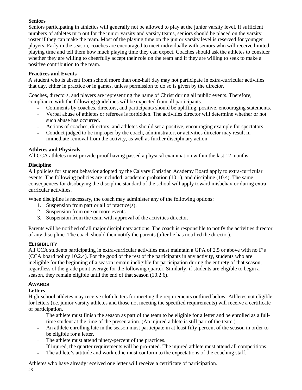### **Seniors**

Seniors participating in athletics will generally not be allowed to play at the junior varsity level. If sufficient numbers of athletes turn out for the junior varsity and varsity teams, seniors should be placed on the varsity roster if they can make the team. Most of the playing time on the junior varsity level is reserved for younger players. Early in the season, coaches are encouraged to meet individually with seniors who will receive limited playing time and tell them how much playing time they can expect. Coaches should ask the athletes to consider whether they are willing to cheerfully accept their role on the team and if they are willing to seek to make a positive contribution to the team.

### **Practices and Events**

A student who is absent from school more than one-half day may not participate in extra-curricular activities that day, either in practice or in games, unless permission to do so is given by the director.

Coaches, directors, and players are representing the name of Christ during all public events. Therefore, compliance with the following guidelines will be expected from all participants.

- − Comments by coaches, directors, and participants should be uplifting, positive, encouraging statements.
- − Verbal abuse of athletes or referees is forbidden. The activities director will determine whether or not such abuse has occurred.
- − Actions of coaches, directors, and athletes should set a positive, encouraging example for spectators.
- − Conduct judged to be improper by the coach, administrator, or activities director may result in immediate removal from the activity, as well as further disciplinary action.

### **Athletes and Physicals**

All CCA athletes must provide proof having passed a physical examination within the last 12 months.

### **Discipline**

All policies for student behavior adopted by the Calvary Christian Academy Board apply to extra-curricular events. The following policies are included: academic probation (10.1), and discipline (10.4). The same consequences for disobeying the discipline standard of the school will apply toward misbehavior during extracurricular activities.

When discipline is necessary, the coach may administer any of the following options:

- 1. Suspension from part or all of practice(s).
- 2. Suspension from one or more events.
- 3. Suspension from the team with approval of the activities director.

Parents will be notified of all major disciplinary actions. The coach is responsible to notify the activities director of any discipline. The coach should then notify the parents (after he has notified the director).

### **ELIGIBILITY**

All CCA students participating in extra-curricular activities must maintain a GPA of 2.5 or above with no F's (CCA board policy 10.2.4). For the good of the rest of the participants in any activity, students who are ineligible for the beginning of a season remain ineligible for participation during the entirety of that season, regardless of the grade point average for the following quarter. Similarly, if students are eligible to begin a season, they remain eligible until the end of that season (10.2.6).

### AWARDS

### **Letters**

High-school athletes may receive cloth letters for meeting the requirements outlined below. Athletes not eligible for letters (i.e. junior varsity athletes and those not meeting the specified requirements) will receive a certificate of participation.

- − The athlete must finish the season as part of the team to be eligible for a letter and be enrolled as a fulltime student at the time of the presentation. (An injured athlete is still part of the team.)
- − An athlete enrolling late in the season must participate in at least fifty-percent of the season in order to be eligible for a letter.
- − The athlete must attend ninety-percent of the practices.
- − If injured, the quarter requirements will be pro-rated. The injured athlete must attend all competitions.
- The athlete's attitude and work ethic must conform to the expectations of the coaching staff.

Athletes who have already received one letter will receive a certificate of participation.

28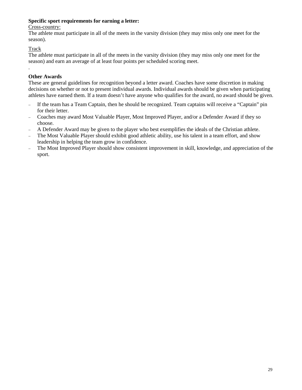### **Specific sport requirements for earning a letter:**

#### Cross-country:

The athlete must participate in all of the meets in the varsity division (they may miss only one meet for the season).

### Track

.

The athlete must participate in all of the meets in the varsity division (they may miss only one meet for the season) and earn an average of at least four points per scheduled scoring meet.

### **Other Awards**

These are general guidelines for recognition beyond a letter award. Coaches have some discretion in making decisions on whether or not to present individual awards. Individual awards should be given when participating athletes have earned them. If a team doesn't have anyone who qualifies for the award, no award should be given.

- − If the team has a Team Captain, then he should be recognized. Team captains will receive a "Captain" pin for their letter.
- − Coaches may award Most Valuable Player, Most Improved Player, and/or a Defender Award if they so choose.
- − A Defender Award may be given to the player who best exemplifies the ideals of the Christian athlete.
- − The Most Valuable Player should exhibit good athletic ability, use his talent in a team effort, and show leadership in helping the team grow in confidence.
- <span id="page-28-0"></span>− The Most Improved Player should show consistent improvement in skill, knowledge, and appreciation of the sport.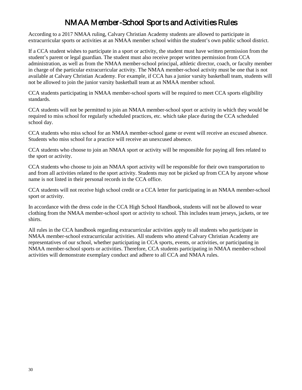# NMAA Member-School Sports and Activities Rules

According to a 2017 NMAA ruling, Calvary Christian Academy students are allowed to participate in extracurricular sports or activities at an NMAA member school within the student's own public school district.

If a CCA student wishes to participate in a sport or activity, the student must have written permission from the student's parent or legal guardian. The student must also receive proper written permission from CCA administration, as well as from the NMAA member-school principal, athletic director, coach, or faculty member in charge of the particular extracurricular activity. The NMAA member-school activity must be one that is not available at Calvary Christian Academy. For example, if CCA has a junior varsity basketball team, students will not be allowed to join the junior varsity basketball team at an NMAA member school.

CCA students participating in NMAA member-school sports will be required to meet CCA sports eligibility standards.

CCA students will not be permitted to join an NMAA member-school sport or activity in which they would be required to miss school for regularly scheduled practices, etc. which take place during the CCA scheduled school day.

CCA students who miss school for an NMAA member-school game or event will receive an excused absence. Students who miss school for a practice will receive an unexcused absence.

CCA students who choose to join an NMAA sport or activity will be responsible for paying all fees related to the sport or activity.

CCA students who choose to join an NMAA sport activity will be responsible for their own transportation to and from all activities related to the sport activity. Students may not be picked up from CCA by anyone whose name is not listed in their personal records in the CCA office.

CCA students will not receive high school credit or a CCA letter for participating in an NMAA member-school sport or activity.

In accordance with the dress code in the CCA High School Handbook, students will not be allowed to wear clothing from the NMAA member-school sport or activity to school. This includes team jerseys, jackets, or tee shirts.

All rules in the CCA handbook regarding extracurricular activities apply to all students who participate in NMAA member-school extracurricular activities. All students who attend Calvary Christian Academy are representatives of our school, whether participating in CCA sports, events, or activities, or participating in NMAA member-school sports or activities. Therefore, CCA students participating in NMAA member-school activities will demonstrate exemplary conduct and adhere to all CCA and NMAA rules.